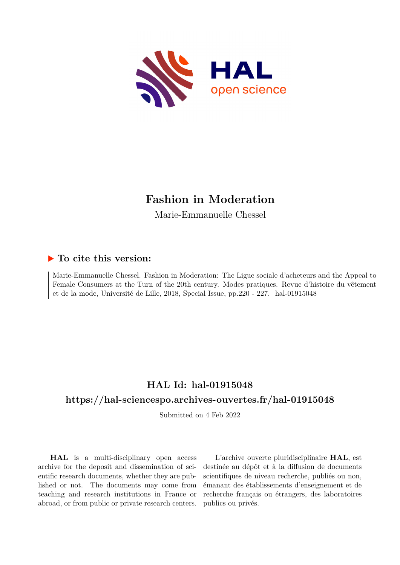

## **Fashion in Moderation**

Marie-Emmanuelle Chessel

#### **To cite this version:**

Marie-Emmanuelle Chessel. Fashion in Moderation: The Ligue sociale d'acheteurs and the Appeal to Female Consumers at the Turn of the 20th century. Modes pratiques. Revue d'histoire du vêtement et de la mode, Université de Lille, 2018, Special Issue, pp. 220 - 227. hal-01915048

## **HAL Id: hal-01915048**

### **<https://hal-sciencespo.archives-ouvertes.fr/hal-01915048>**

Submitted on 4 Feb 2022

**HAL** is a multi-disciplinary open access archive for the deposit and dissemination of scientific research documents, whether they are published or not. The documents may come from teaching and research institutions in France or abroad, or from public or private research centers.

L'archive ouverte pluridisciplinaire **HAL**, est destinée au dépôt et à la diffusion de documents scientifiques de niveau recherche, publiés ou non, émanant des établissements d'enseignement et de recherche français ou étrangers, des laboratoires publics ou privés.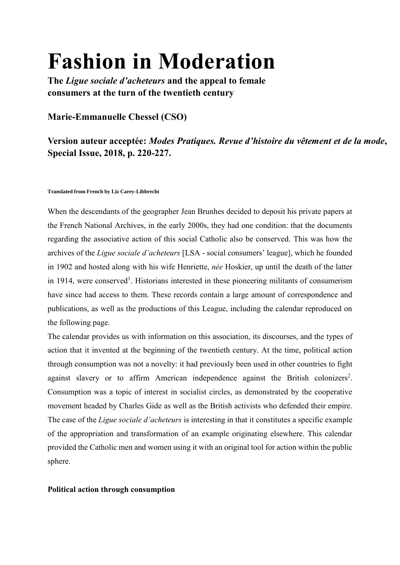# **Fashion in Moderation**

**The** *Ligue sociale d'acheteurs* **and the appeal to female consumers at the turn of the twentieth century**

### **Marie-Emmanuelle Chessel (CSO)**

## **Version auteur acceptée:** *Modes Pratiques. Revue d'histoire du vêtement et de la mode***, Special Issue, 2018, p. 220-227.**

#### **Translated from French by Liz Carey-Libbrecht**

When the descendants of the geographer Jean Brunhes decided to deposit his private papers at the French National Archives, in the early 2000s, they had one condition: that the documents regarding the associative action of this social Catholic also be conserved. This was how the archives of the *Ligue sociale d'acheteurs* [LSA - social consumers' league], which he founded in 1902 and hosted along with his wife Henriette, *née* Hoskier, up until the death of the latter in 1914, were conserved<sup>1</sup>. Historians interested in these pioneering militants of consumerism have since had access to them. These records contain a large amount of correspondence and publications, as well as the productions of this League, including the calendar reproduced on the following page.

The calendar provides us with information on this association, its discourses, and the types of action that it invented at the beginning of the twentieth century. At the time, political action through consumption was not a novelty: it had previously been used in other countries to fight against slavery or to affirm American independence against the British colonizers<sup>2</sup>. Consumption was a topic of interest in socialist circles, as demonstrated by the cooperative movement headed by Charles Gide as well as the British activists who defended their empire. The case of the *Ligue sociale d'acheteurs* is interesting in that it constitutes a specific example of the appropriation and transformation of an example originating elsewhere. This calendar provided the Catholic men and women using it with an original tool for action within the public sphere.

#### **Political action through consumption**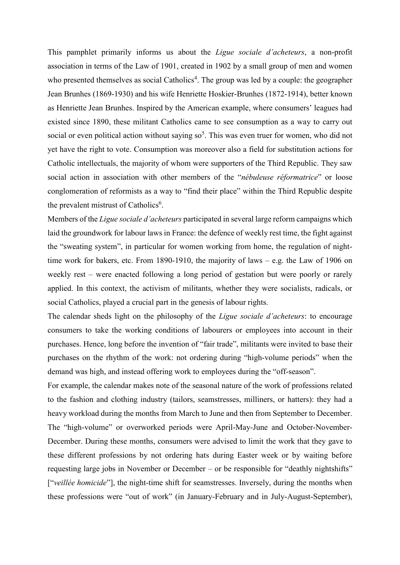This pamphlet primarily informs us about the *Ligue sociale d'acheteurs*, a non-profit association in terms of the Law of 1901, created in 1902 by a small group of men and women who presented themselves as social Catholics<sup>4</sup>. The group was led by a couple: the geographer Jean Brunhes (1869-1930) and his wife Henriette Hoskier-Brunhes (1872-1914), better known as Henriette Jean Brunhes. Inspired by the American example, where consumers' leagues had existed since 1890, these militant Catholics came to see consumption as a way to carry out social or even political action without saying  $so<sup>5</sup>$ . This was even truer for women, who did not yet have the right to vote. Consumption was moreover also a field for substitution actions for Catholic intellectuals, the majority of whom were supporters of the Third Republic. They saw social action in association with other members of the "*nébuleuse réformatrice*" or loose conglomeration of reformists as a way to "find their place" within the Third Republic despite the prevalent mistrust of Catholics<sup>6</sup>.

Members of the *Ligue sociale d'acheteurs* participated in several large reform campaigns which laid the groundwork for labour laws in France: the defence of weekly rest time, the fight against the "sweating system", in particular for women working from home, the regulation of nighttime work for bakers, etc. From 1890-1910, the majority of laws – e.g. the Law of 1906 on weekly rest – were enacted following a long period of gestation but were poorly or rarely applied. In this context, the activism of militants, whether they were socialists, radicals, or social Catholics, played a crucial part in the genesis of labour rights.

The calendar sheds light on the philosophy of the *Ligue sociale d'acheteurs*: to encourage consumers to take the working conditions of labourers or employees into account in their purchases. Hence, long before the invention of "fair trade", militants were invited to base their purchases on the rhythm of the work: not ordering during "high-volume periods" when the demand was high, and instead offering work to employees during the "off-season".

For example, the calendar makes note of the seasonal nature of the work of professions related to the fashion and clothing industry (tailors, seamstresses, milliners, or hatters): they had a heavy workload during the months from March to June and then from September to December. The "high-volume" or overworked periods were April-May-June and October-November-December. During these months, consumers were advised to limit the work that they gave to these different professions by not ordering hats during Easter week or by waiting before requesting large jobs in November or December – or be responsible for "deathly nightshifts" ["*veillée homicide*"], the night-time shift for seamstresses. Inversely, during the months when these professions were "out of work" (in January-February and in July-August-September),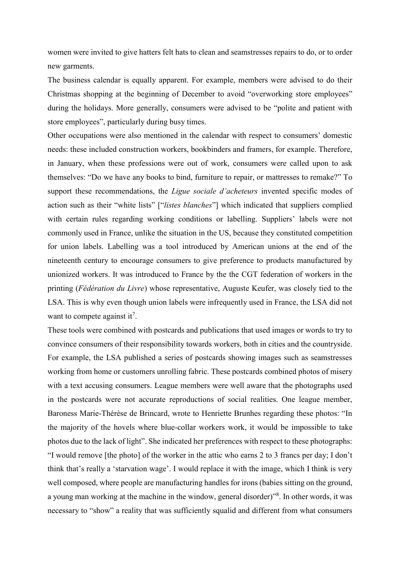women were invited to give hatters felt hats to clean and seamstresses repairs to do, or to order new garments.

The business calendar is equally apparent. For example, members were advised to do their Christmas shopping at the beginning of December to avoid "overworking store employees" during the holidays. More generally, consumers were advised to be "polite and patient with store employees", particularly during busy times.

Other occupations were also mentioned in the calendar with respect to consumers' domestic needs: these included construction workers, bookbinders and framers, for example. Therefore, in January, when these professions were out of work, consumers were called upon to ask themselves: "Do we have any books to bind, furniture to repair, or mattresses to remake?" To support these recommendations, the *Ligue sociale d'acheteurs* invented specific modes of action such as their "white lists" ["*listes blanches*"] which indicated that suppliers complied with certain rules regarding working conditions or labelling. Suppliers' labels were not commonly used in France, unlike the situation in the US, because they constituted competition for union labels. Labelling was a tool introduced by American unions at the end of the nineteenth century to encourage consumers to give preference to products manufactured by unionized workers. It was introduced to France by the the CGT federation of workers in the printing (*Fédération du Livre*) whose representative, Auguste Keufer, was closely tied to the LSA. This is why even though union labels were infrequently used in France, the LSA did not want to compete against it<sup>7</sup>.

These tools were combined with postcards and publications that used images or words to try to convince consumers of their responsibility towards workers, both in cities and the countryside. For example, the LSA published a series of postcards showing images such as seamstresses working from home or customers unrolling fabric. These postcards combined photos of misery with a text accusing consumers. League members were well aware that the photographs used in the postcards were not accurate reproductions of social realities. One league member, Baroness Marie-Thérèse de Brincard, wrote to Henriette Brunhes regarding these photos: "In the majority of the hovels where blue-collar workers work, it would be impossible to take photos due to the lack of light". She indicated her preferences with respect to these photographs: "I would remove [the photo] of the worker in the attic who earns 2 to 3 francs per day; I don't think that's really a 'starvation wage'. I would replace it with the image, which I think is very well composed, where people are manufacturing handles for irons (babies sitting on the ground, a young man working at the machine in the window, general disorder)"<sup>8</sup>. In other words, it was necessary to "show" a reality that was sufficiently squalid and different from what consumers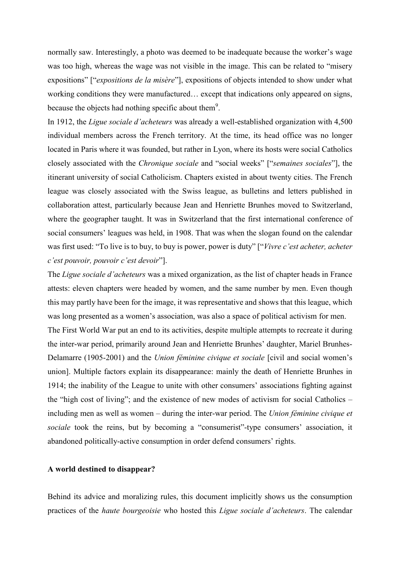normally saw. Interestingly, a photo was deemed to be inadequate because the worker's wage was too high, whereas the wage was not visible in the image. This can be related to "misery expositions" ["*expositions de la misère*"], expositions of objects intended to show under what working conditions they were manufactured… except that indications only appeared on signs, because the objects had nothing specific about them<sup>9</sup>.

In 1912, the *Ligue sociale d'acheteurs* was already a well-established organization with 4,500 individual members across the French territory. At the time, its head office was no longer located in Paris where it was founded, but rather in Lyon, where its hosts were social Catholics closely associated with the *Chronique sociale* and "social weeks" ["*semaines sociales*"], the itinerant university of social Catholicism. Chapters existed in about twenty cities. The French league was closely associated with the Swiss league, as bulletins and letters published in collaboration attest, particularly because Jean and Henriette Brunhes moved to Switzerland, where the geographer taught. It was in Switzerland that the first international conference of social consumers' leagues was held, in 1908. That was when the slogan found on the calendar was first used: "To live is to buy, to buy is power, power is duty" ["*Vivre c'est acheter, acheter c'est pouvoir, pouvoir c'est devoir*"].

The *Ligue sociale d'acheteurs* was a mixed organization, as the list of chapter heads in France attests: eleven chapters were headed by women, and the same number by men. Even though this may partly have been for the image, it was representative and shows that this league, which was long presented as a women's association, was also a space of political activism for men. The First World War put an end to its activities, despite multiple attempts to recreate it during the inter-war period, primarily around Jean and Henriette Brunhes' daughter, Mariel Brunhes-Delamarre (1905-2001) and the *Union féminine civique et sociale* [civil and social women's union]. Multiple factors explain its disappearance: mainly the death of Henriette Brunhes in 1914; the inability of the League to unite with other consumers' associations fighting against the "high cost of living"; and the existence of new modes of activism for social Catholics – including men as well as women – during the inter-war period. The *Union féminine civique et sociale* took the reins, but by becoming a "consumerist"-type consumers' association, it abandoned politically-active consumption in order defend consumers' rights.

#### **A world destined to disappear?**

Behind its advice and moralizing rules, this document implicitly shows us the consumption practices of the *haute bourgeoisie* who hosted this *Ligue sociale d'acheteurs*. The calendar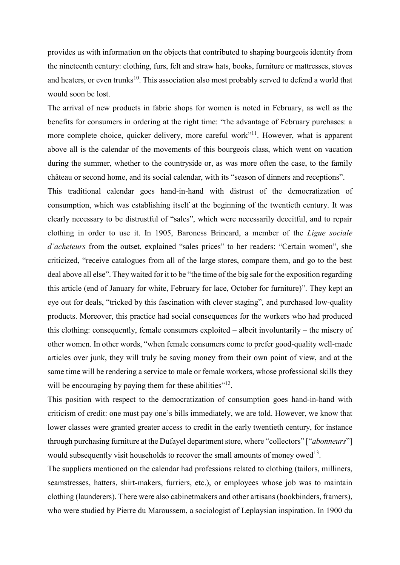provides us with information on the objects that contributed to shaping bourgeois identity from the nineteenth century: clothing, furs, felt and straw hats, books, furniture or mattresses, stoves and heaters, or even trunks<sup>10</sup>. This association also most probably served to defend a world that would soon be lost.

The arrival of new products in fabric shops for women is noted in February, as well as the benefits for consumers in ordering at the right time: "the advantage of February purchases: a more complete choice, quicker delivery, more careful work"<sup>11</sup>. However, what is apparent above all is the calendar of the movements of this bourgeois class, which went on vacation during the summer, whether to the countryside or, as was more often the case, to the family château or second home, and its social calendar, with its "season of dinners and receptions".

This traditional calendar goes hand-in-hand with distrust of the democratization of consumption, which was establishing itself at the beginning of the twentieth century. It was clearly necessary to be distrustful of "sales", which were necessarily deceitful, and to repair clothing in order to use it. In 1905, Baroness Brincard, a member of the *Ligue sociale d'acheteurs* from the outset, explained "sales prices" to her readers: "Certain women", she criticized, "receive catalogues from all of the large stores, compare them, and go to the best deal above all else". They waited for it to be "the time of the big sale for the exposition regarding this article (end of January for white, February for lace, October for furniture)". They kept an eye out for deals, "tricked by this fascination with clever staging", and purchased low-quality products. Moreover, this practice had social consequences for the workers who had produced this clothing: consequently, female consumers exploited – albeit involuntarily – the misery of other women. In other words, "when female consumers come to prefer good-quality well-made articles over junk, they will truly be saving money from their own point of view, and at the same time will be rendering a service to male or female workers, whose professional skills they will be encouraging by paying them for these abilities"<sup>12</sup>.

This position with respect to the democratization of consumption goes hand-in-hand with criticism of credit: one must pay one's bills immediately, we are told. However, we know that lower classes were granted greater access to credit in the early twentieth century, for instance through purchasing furniture at the Dufayel department store, where "collectors" ["*abonneurs*"] would subsequently visit households to recover the small amounts of money owed<sup>13</sup>.

The suppliers mentioned on the calendar had professions related to clothing (tailors, milliners, seamstresses, hatters, shirt-makers, furriers, etc.), or employees whose job was to maintain clothing (launderers). There were also cabinetmakers and other artisans (bookbinders, framers), who were studied by Pierre du Maroussem, a sociologist of Leplaysian inspiration. In 1900 du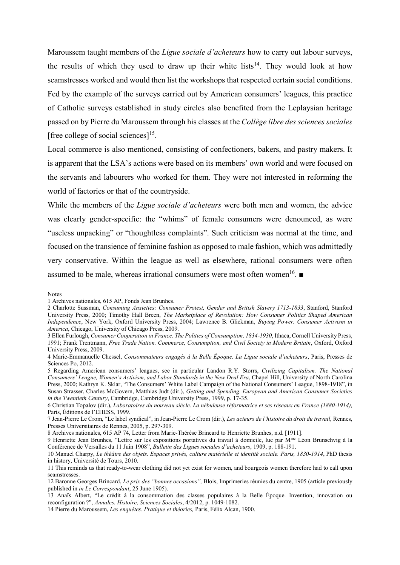Maroussem taught members of the *Ligue sociale d'acheteurs* how to carry out labour surveys, the results of which they used to draw up their white lists<sup>14</sup>. They would look at how seamstresses worked and would then list the workshops that respected certain social conditions. Fed by the example of the surveys carried out by American consumers' leagues, this practice of Catholic surveys established in study circles also benefited from the Leplaysian heritage passed on by Pierre du Maroussem through his classes at the *Collège libre des sciences sociales* [free college of social sciences] $^{15}$ .

Local commerce is also mentioned, consisting of confectioners, bakers, and pastry makers. It is apparent that the LSA's actions were based on its members' own world and were focused on the servants and labourers who worked for them. They were not interested in reforming the world of factories or that of the countryside.

While the members of the *Ligue sociale d'acheteurs* were both men and women, the advice was clearly gender-specific: the "whims" of female consumers were denounced, as were "useless unpacking" or "thoughtless complaints". Such criticism was normal at the time, and focused on the transience of feminine fashion as opposed to male fashion, which was admittedly very conservative. Within the league as well as elsewhere, rational consumers were often assumed to be male, whereas irrational consumers were most often women<sup>16</sup>.

#### Notes

8 Archives nationales, 615 AP 74, Letter from Marie-Thérèse Brincard to Henriette Brunhes, n.d. [1911].

14 Pierre du Maroussem, *Les enquêtes. Pratique et théories,* Paris, Félix Alcan, 1900.

<sup>1</sup> Archives nationales, 615 AP, Fonds Jean Brunhes.

<sup>2</sup> Charlotte Sussman, *Consuming Anxieties: Consumer Protest, Gender and British Slavery 1713-1833*, Stanford, Stanford University Press, 2000; Timothy Hall Breen, *The Marketplace of Revolution: How Consumer Politics Shaped American Independence*, New York, Oxford University Press, 2004; Lawrence B. Glickman, *Buying Power. Consumer Activism in America*, Chicago, University of Chicago Press, 2009.

<sup>3</sup> Ellen Furlough, *Consumer Cooperation in France. The Politics of Consumption, 1834-1930*, Ithaca, Cornell University Press, 1991; Frank Trentmann, *Free Trade Nation. Commerce, Consumption, and Civil Society in Modern Britain*, Oxford, Oxford University Press, 2009.

<sup>4</sup> Marie-Emmanuelle Chessel, *Consommateurs engagés à la Belle Époque. La Ligue sociale d'acheteurs*, Paris, Presses de Sciences Po, 2012.

<sup>5</sup> Regarding American consumers' leagues, see in particular Landon R.Y. Storrs, *Civilizing Capitalism. The National Consumers' League, Women's Activism, and Labor Standards in the New Deal Era*, Chapel Hill, University of North Carolina Press, 2000; Kathryn K. Sklar, "The Consumers' White Label Campaign of the National Consumers' League, 1898-1918", in Susan Strasser, Charles McGovern, Matthias Judt (dir.), *Getting and Spending. European and American Consumer Societies in the Twentieth Century*, Cambridge, Cambridge University Press, 1999, p. 17-35.

<sup>6</sup> Christian Topalov (dir.), *Laboratoires du nouveau siècle. La nébuleuse réformatrice et ses réseaux en France (1880-1914),* Paris, Éditions de l'EHESS, 1999.

<sup>7</sup> Jean-Pierre Le Crom, "Le label syndical", in Jean-Pierre Le Crom (dir.), *Les acteurs de l'histoire du droit du travail,* Rennes, Presses Universitaires de Rennes, 2005, p. 297-309.

<sup>9</sup> Henriette Jean Brunhes, "Lettre sur les expositions portatives du travail à domicile, lue par Mme Léon Brunschvig à la Conférence de Versalles du 11 Juin 1908", *Bulletin des Ligues sociales d'acheteurs*, 1909, p. 188-191.

<sup>10</sup> Manuel Charpy, *Le théâtre des objets. Espaces privés, culture matérielle et identité sociale. Paris, 1830-1914*, PhD thesis in history, Université de Tours, 2010.

<sup>11</sup> This reminds us that ready-to-wear clothing did not yet exist for women, and bourgeois women therefore had to call upon seamstresses.

<sup>12</sup> Baronne Georges Brincard, *Le prix des "bonnes occasions",* Blois, Imprimeries réunies du centre, 1905 (article previously published in *in Le Correspondant*, 25 June 1905).

<sup>13</sup> Anaïs Albert, "Le crédit à la consommation des classes populaires à la Belle Époque. Invention, innovation ou reconfiguration ?", *Annales. Histoire, Sciences Sociales*, 4/2012, p. 1049-1082.